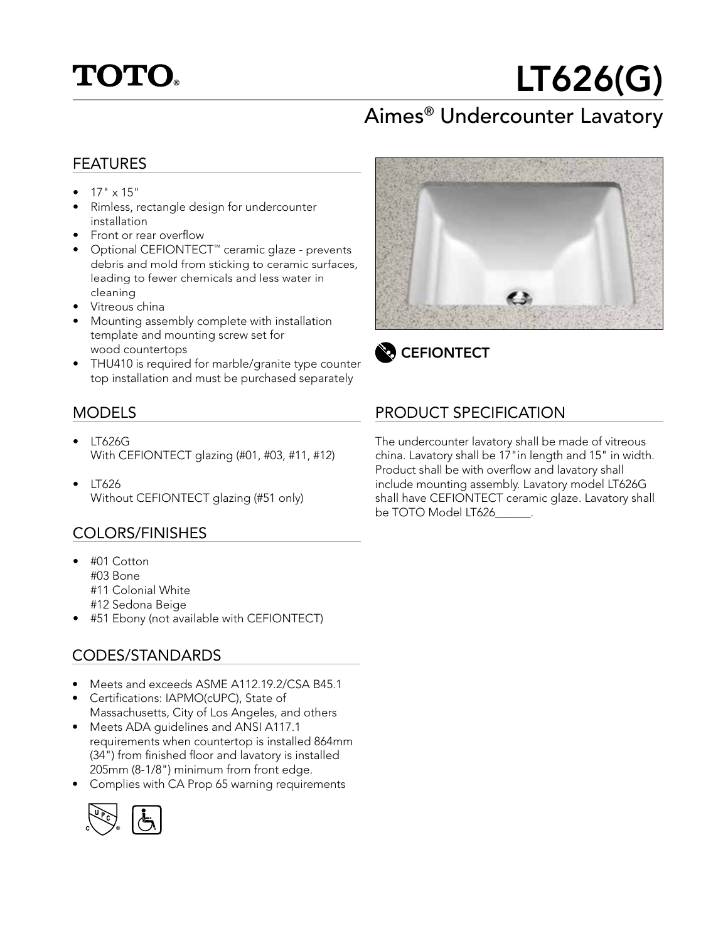

# LT626(G)

# Aimes® Undercounter Lavatory

#### FEATURES

- $17" \times 15"$
- Rimless, rectangle design for undercounter installation
- Front or rear overflow
- Optional CEFIONTECT™ ceramic glaze prevents debris and mold from sticking to ceramic surfaces, leading to fewer chemicals and less water in cleaning
- Vitreous china
- Mounting assembly complete with installation template and mounting screw set for wood countertops
- THU410 is required for marble/granite type counter top installation and must be purchased separately

#### MODELS

- LT626G With CEFIONTECT glazing (#01, #03, #11, #12)
- LT626 Without CEFIONTECT glazing (#51 only)

#### COLORS/FINISHES

- #01 Cotton #03 Bone #11 Colonial White
	- #12 Sedona Beige
- #51 Ebony (not available with CEFIONTECT)

#### CODES/STANDARDS

- Meets and exceeds ASME A112.19.2/CSA B45.1
- Certifications: IAPMO(cUPC), State of Massachusetts, City of Los Angeles, and others
- Meets ADA quidelines and ANSI A117.1 requirements when countertop is installed 864mm (34") from finished floor and lavatory is installed 205mm (8-1/8") minimum from front edge.
- Complies with CA Prop 65 warning requirements





**CEFIONTECT** 

### PRODUCT SPECIFICATION

The undercounter lavatory shall be made of vitreous china. Lavatory shall be 17"in length and 15" in width. Product shall be with overflow and lavatory shall include mounting assembly. Lavatory model LT626G shall have CEFIONTECT ceramic glaze. Lavatory shall be TOTO Model LT626